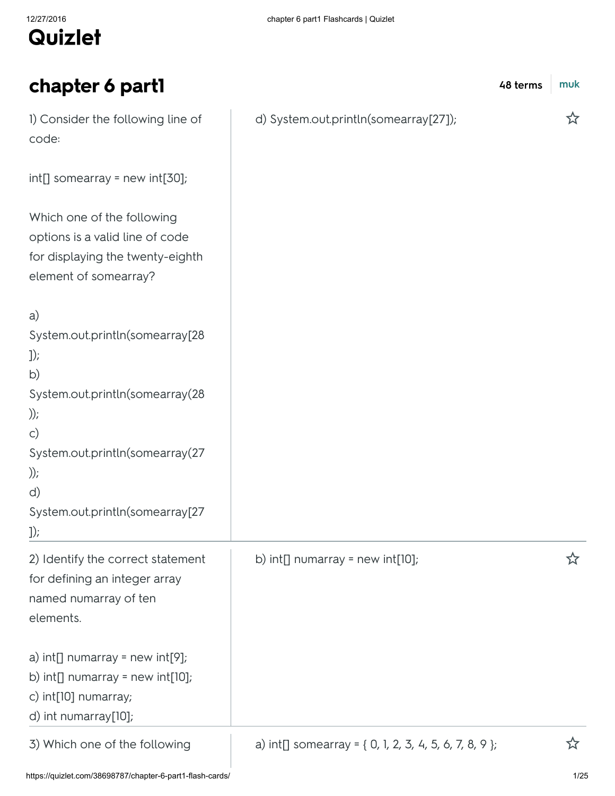# Quizlet

| chapter 6 part1                                                                                                               | 48 terms                                               | muk |
|-------------------------------------------------------------------------------------------------------------------------------|--------------------------------------------------------|-----|
| 1) Consider the following line of<br>code:                                                                                    | d) System.out.println(somearray[27]);                  | ☆   |
| $int[]$ somearray = new $int[30]$ ;                                                                                           |                                                        |     |
| Which one of the following<br>options is a valid line of code<br>for displaying the twenty-eighth<br>element of somearray?    |                                                        |     |
| a)<br>System.out.println(somearray[28<br>$]$ );<br>b)                                                                         |                                                        |     |
| System.out.println(somearray(28<br>$))$ ;<br>$\mathsf{C}$                                                                     |                                                        |     |
| System.out.println(somearray(27<br>$))$ ;<br>d)                                                                               |                                                        |     |
| System.out.println(somearray[27<br>$]$ );                                                                                     |                                                        |     |
| 2) Identify the correct statement<br>for defining an integer array<br>named numarray of ten<br>elements.                      | b) $int[]$ numarray = new $int[10]$ ;                  |     |
| a) $int[]$ numarray = new $int[9]$ ;<br>b) $int[]$ numarray = new $int[10]$ ;<br>c) int[10] numarray;<br>d) int numarray[10]; |                                                        |     |
| 3) Which one of the following                                                                                                 | a) int[] somearray = { 0, 1, 2, 3, 4, 5, 6, 7, 8, 9 }; |     |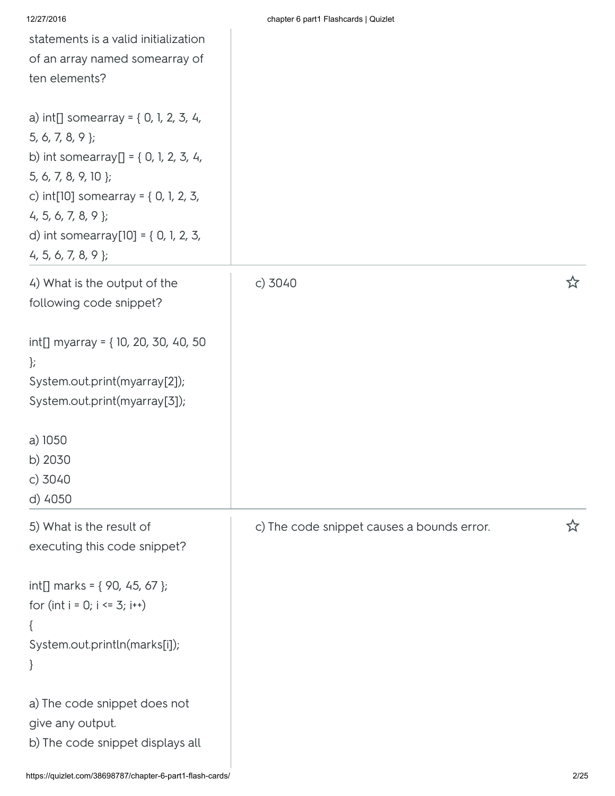|  | chapter 6 part1 Flashcards   Quizlet |  |
|--|--------------------------------------|--|
|  |                                      |  |

| statements is a valid initialization<br>of an array named somearray of<br>ten elements?                                                 |                                            |   |
|-----------------------------------------------------------------------------------------------------------------------------------------|--------------------------------------------|---|
| a) $int[]$ somearray = { 0, 1, 2, 3, 4,<br>$5, 6, 7, 8, 9$ };<br>5, 6, 7, 8, 9, 10 };<br>$4, 5, 6, 7, 8, 9$ };<br>$4, 5, 6, 7, 8, 9$ }; |                                            |   |
| 4) What is the output of the<br>following code snippet?                                                                                 | c) 3040                                    | ☆ |
| int[] myarray = {10, 20, 30, 40, 50<br>$\cdot$<br>System.out.print(myarray[2]);<br>System.out.print(myarray[3]);                        |                                            |   |
| a) 1050<br>b) 2030<br>$c)$ 3040<br>d) 4050                                                                                              |                                            |   |
| 5) What is the result of<br>executing this code snippet?                                                                                | c) The code snippet causes a bounds error. | ☆ |
| int[] marks = { 90, 45, 67 };<br>for $(int i = 0; i \le 3; i++)$<br>ί<br>System.out.println(marks[i]);<br>$\}$                          |                                            |   |
| a) The code snippet does not<br>give any output.<br>b) The code snippet displays all                                                    |                                            |   |

12/27/2016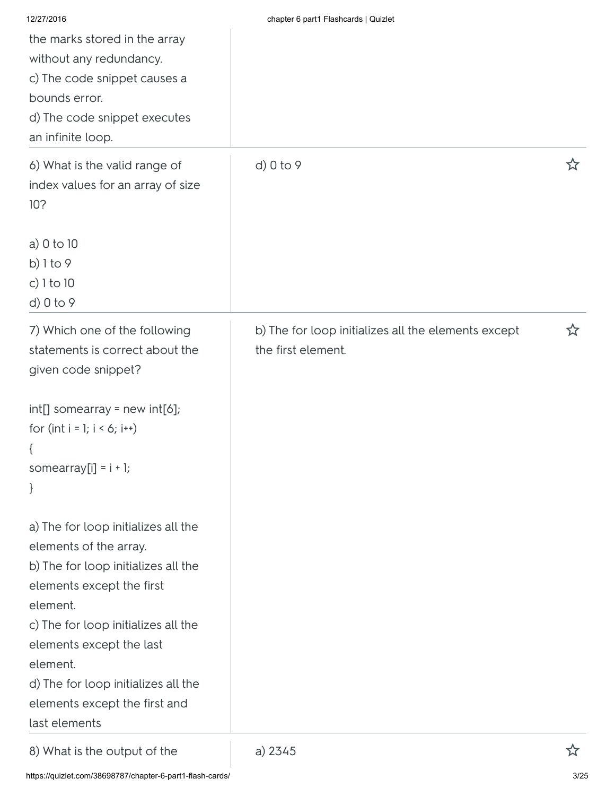| 12/27/2016                                                      | chapter 6 part1 Flashcards   Quizlet                |   |
|-----------------------------------------------------------------|-----------------------------------------------------|---|
| the marks stored in the array<br>without any redundancy.        |                                                     |   |
| c) The code snippet causes a                                    |                                                     |   |
| bounds error.                                                   |                                                     |   |
| d) The code snippet executes                                    |                                                     |   |
| an infinite loop.                                               |                                                     |   |
| 6) What is the valid range of                                   | d) 0 to 9                                           |   |
| index values for an array of size                               |                                                     |   |
| 10?                                                             |                                                     |   |
| a) $0$ to $10$                                                  |                                                     |   |
| b) $1$ to 9                                                     |                                                     |   |
| c) $1$ to $10$                                                  |                                                     |   |
| d) 0 to 9                                                       |                                                     |   |
| 7) Which one of the following                                   | b) The for loop initializes all the elements except | ☆ |
| statements is correct about the                                 | the first element.                                  |   |
| given code snippet?                                             |                                                     |   |
| $int[]$ somearray = new $int[6]$ ;                              |                                                     |   |
| for $(int i = 1; i < 6; i++)$                                   |                                                     |   |
| $\{$                                                            |                                                     |   |
| somearray[i] = $i + 1$ ;                                        |                                                     |   |
| $\}$                                                            |                                                     |   |
| a) The for loop initializes all the                             |                                                     |   |
| elements of the array.                                          |                                                     |   |
| b) The for loop initializes all the                             |                                                     |   |
| elements except the first                                       |                                                     |   |
| element.                                                        |                                                     |   |
| c) The for loop initializes all the<br>elements except the last |                                                     |   |
| element.                                                        |                                                     |   |
| d) The for loop initializes all the                             |                                                     |   |
| elements except the first and                                   |                                                     |   |
| last elements                                                   |                                                     |   |
| 8) What is the output of the                                    | a) 2345                                             |   |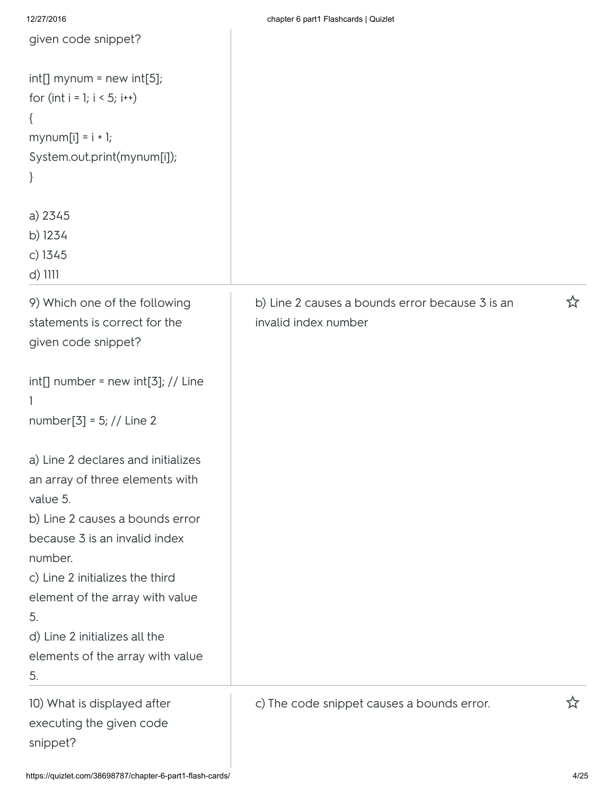| given code snippet?                                                                                                                      |                                                                         |   |
|------------------------------------------------------------------------------------------------------------------------------------------|-------------------------------------------------------------------------|---|
| $int[]$ mynum = new int[5];<br>for (int $i = 1$ ; $i < 5$ ; $i++)$<br>$\{$<br>$mynum[i] = i + 1;$<br>System.out.print(mynum[i]);<br>$\}$ |                                                                         |   |
| a) 2345<br>b) 1234<br>$c)$ 1345<br>$d)$ 1111                                                                                             |                                                                         |   |
| 9) Which one of the following<br>statements is correct for the<br>given code snippet?                                                    | b) Line 2 causes a bounds error because 3 is an<br>invalid index number | ☆ |
| $int[]$ number = new $int[3]$ ; // Line<br>1<br>number[3] = 5; // Line 2                                                                 |                                                                         |   |
| a) Line 2 declares and initializes<br>an array of three elements with<br>value 5.                                                        |                                                                         |   |
| b) Line 2 causes a bounds error<br>because 3 is an invalid index<br>number.                                                              |                                                                         |   |
| c) Line 2 initializes the third<br>element of the array with value<br>5.<br>d) Line 2 initializes all the                                |                                                                         |   |
| elements of the array with value<br>5.                                                                                                   |                                                                         |   |
| 10) What is displayed after<br>executing the given code<br>snippet?                                                                      | c) The code snippet causes a bounds error.                              | ☆ |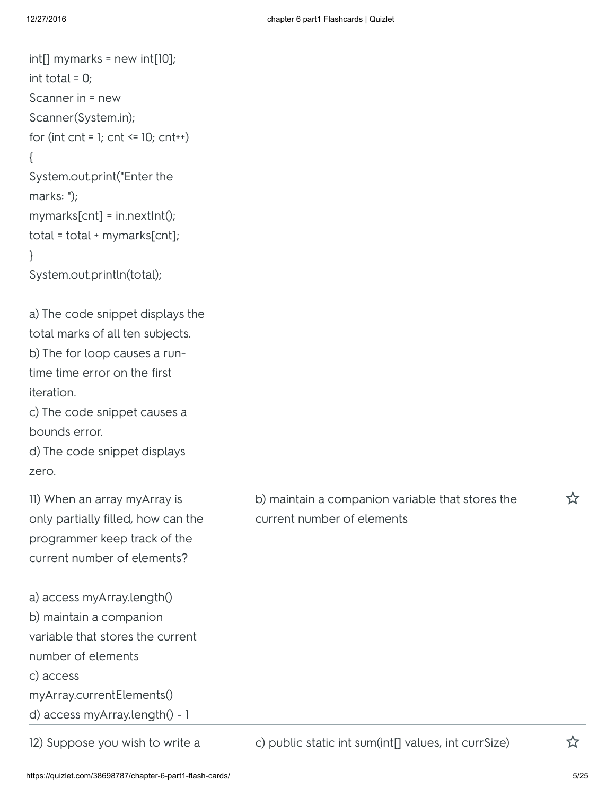| $int[]$ mymarks = new int $[10]$ ;<br>int total = $0$ ;<br>Scanner in = new<br>Scanner(System.in);<br>for (int cnt = 1; cnt <= $10$ ; cnt++)<br>System.out.print("Enter the<br>marks: $\overline{\ }$ );<br>$mymarks[cnt] = in.nextInt();$<br>$total = total + mymarks[cnt];$<br>$\}$<br>System.out.println(total);              |                                                                                |   |
|----------------------------------------------------------------------------------------------------------------------------------------------------------------------------------------------------------------------------------------------------------------------------------------------------------------------------------|--------------------------------------------------------------------------------|---|
| a) The code snippet displays the<br>total marks of all ten subjects.<br>b) The for loop causes a run-<br>time time error on the first<br>iteration.<br>c) The code snippet causes a<br>bounds error.<br>d) The code snippet displays<br>zero.                                                                                    |                                                                                |   |
| II) When an array myArray is<br>only partially filled, how can the<br>programmer keep track of the<br>current number of elements?<br>a) access myArray.length()<br>b) maintain a companion<br>variable that stores the current<br>number of elements<br>c) access<br>myArray.currentElements()<br>d) access myArray.length() - 1 | b) maintain a companion variable that stores the<br>current number of elements | ☆ |
| 12) Suppose you wish to write a                                                                                                                                                                                                                                                                                                  | c) public static int sum(int[] values, int currSize)                           | ☆ |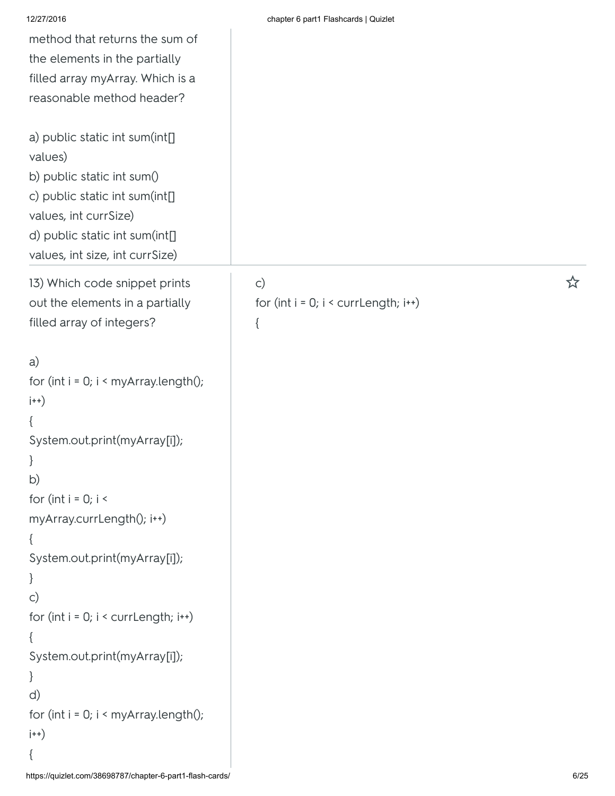| 12/27/2016                                 | chapter 6 part1 Flashcards   Quizlet       |   |
|--------------------------------------------|--------------------------------------------|---|
| method that returns the sum of             |                                            |   |
| the elements in the partially              |                                            |   |
| filled array myArray. Which is a           |                                            |   |
| reasonable method header?                  |                                            |   |
|                                            |                                            |   |
| a) public static int sum(int[]             |                                            |   |
| values)                                    |                                            |   |
| b) public static int sum()                 |                                            |   |
| c) public static int sum(int[]             |                                            |   |
| values, int currSize)                      |                                            |   |
| d) public static int sum(int[]             |                                            |   |
| values, int size, int currSize)            |                                            |   |
| 13) Which code snippet prints              | $\mathsf{C}$                               | ☆ |
| out the elements in a partially            | for $(int i = 0; i < current length; i++)$ |   |
| filled array of integers?                  | $\{$                                       |   |
|                                            |                                            |   |
| a)                                         |                                            |   |
| for (int $i = 0$ ; $i <$ myArray.length(); |                                            |   |
| $\vert ++\rangle$                          |                                            |   |
| $\{$                                       |                                            |   |
| System.out.print(myArray[i]);              |                                            |   |
| $\bigg\}$                                  |                                            |   |
| b)                                         |                                            |   |
| for (int $i = 0; i <$                      |                                            |   |
| myArray.currLength(); i++)                 |                                            |   |
| $\{$                                       |                                            |   |
| System.out.print(myArray[i]);              |                                            |   |
| $\}$                                       |                                            |   |
| $\mathsf{C}$                               |                                            |   |
| for $(int i = 0; i < current length; i++)$ |                                            |   |
| $\{$                                       |                                            |   |
| System.out.print(myArray[i]);              |                                            |   |
| $\}$                                       |                                            |   |
| d)                                         |                                            |   |
| for (int $i = 0$ ; $i <$ myArray.length(); |                                            |   |
| $\vert ++\rangle$                          |                                            |   |

{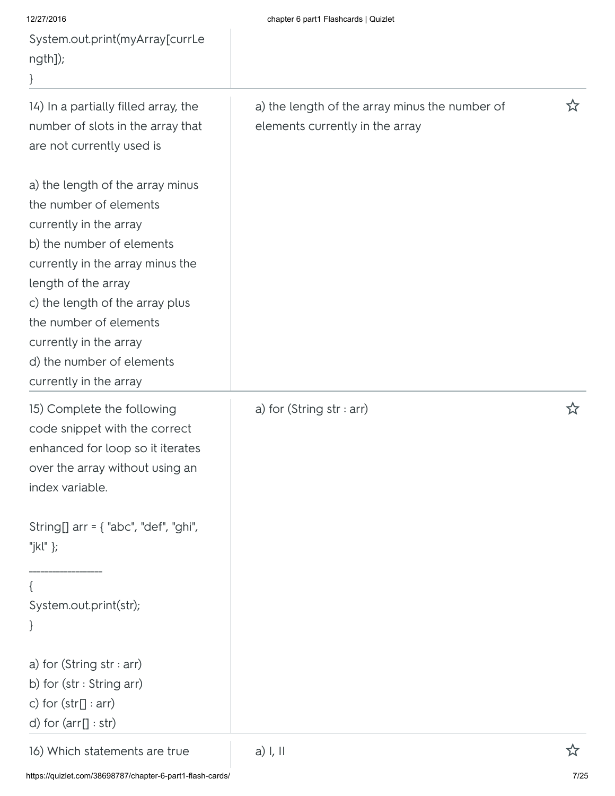| 12/27/2016<br>System.out.print(myArray[currLe<br>ngth]);                                                                                                                                                                                                                                                                   | chapter 6 part1 Flashcards   Quizlet                                              |   |
|----------------------------------------------------------------------------------------------------------------------------------------------------------------------------------------------------------------------------------------------------------------------------------------------------------------------------|-----------------------------------------------------------------------------------|---|
| 14) In a partially filled array, the<br>number of slots in the array that<br>are not currently used is                                                                                                                                                                                                                     | a) the length of the array minus the number of<br>elements currently in the array | ☆ |
| a) the length of the array minus<br>the number of elements<br>currently in the array<br>b) the number of elements<br>currently in the array minus the<br>length of the array<br>c) the length of the array plus<br>the number of elements<br>currently in the array<br>d) the number of elements<br>currently in the array |                                                                                   |   |
| 15) Complete the following<br>code snippet with the correct<br>enhanced for loop so it iterates<br>over the array without using an<br>index variable.                                                                                                                                                                      | a) for (String str : arr)                                                         |   |
| String[] arr = { "abc", "def", "ghi",<br>"jkl" };                                                                                                                                                                                                                                                                          |                                                                                   |   |
| System.out.print(str);<br>$\}$                                                                                                                                                                                                                                                                                             |                                                                                   |   |
| a) for (String str : arr)<br>b) for (str: String arr)<br>c) for $(str[] : arr)$<br>d) for $(\text{arr}[] : \text{str})$                                                                                                                                                                                                    |                                                                                   |   |
| 16) Which statements are true                                                                                                                                                                                                                                                                                              | $a)$ I, II                                                                        | ☆ |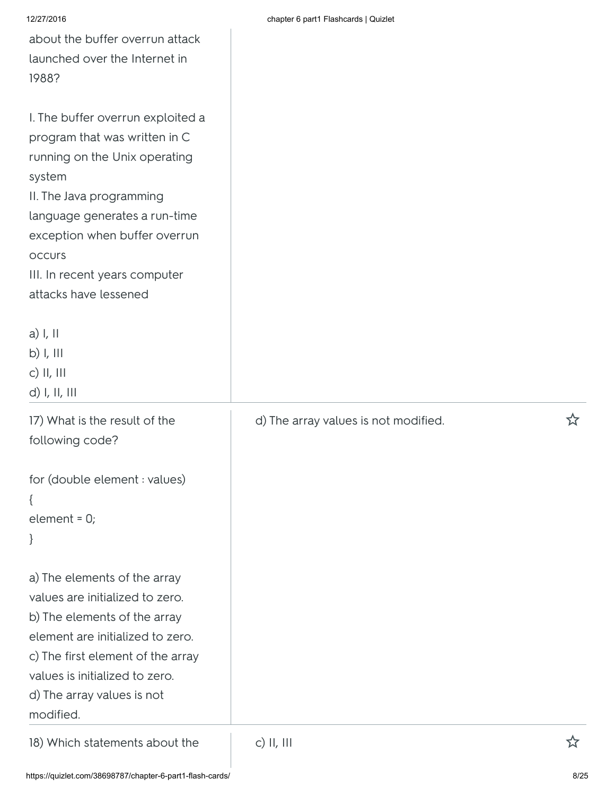| about the buffer overrun attack<br>launched over the Internet in<br>1988?                                                                                                                                                                                                              |                                      |   |
|----------------------------------------------------------------------------------------------------------------------------------------------------------------------------------------------------------------------------------------------------------------------------------------|--------------------------------------|---|
| I. The buffer overrun exploited a<br>program that was written in C<br>running on the Unix operating<br>system<br>II. The Java programming<br>language generates a run-time<br>exception when buffer overrun<br><b>OCCUIS</b><br>III. In recent years computer<br>attacks have lessened |                                      |   |
| $a)$ I, II<br>b) I, III<br>c) $  ,    $<br>$d)$ I, II, III                                                                                                                                                                                                                             |                                      |   |
| 17) What is the result of the<br>following code?                                                                                                                                                                                                                                       | d) The array values is not modified. | ☆ |
| for (double element : values)<br>element = $0$ ;<br>}                                                                                                                                                                                                                                  |                                      |   |
| a) The elements of the array<br>values are initialized to zero.<br>b) The elements of the array<br>element are initialized to zero.<br>c) The first element of the array<br>values is initialized to zero.<br>d) The array values is not<br>modified.                                  |                                      |   |

18) Which statements about the c) II, III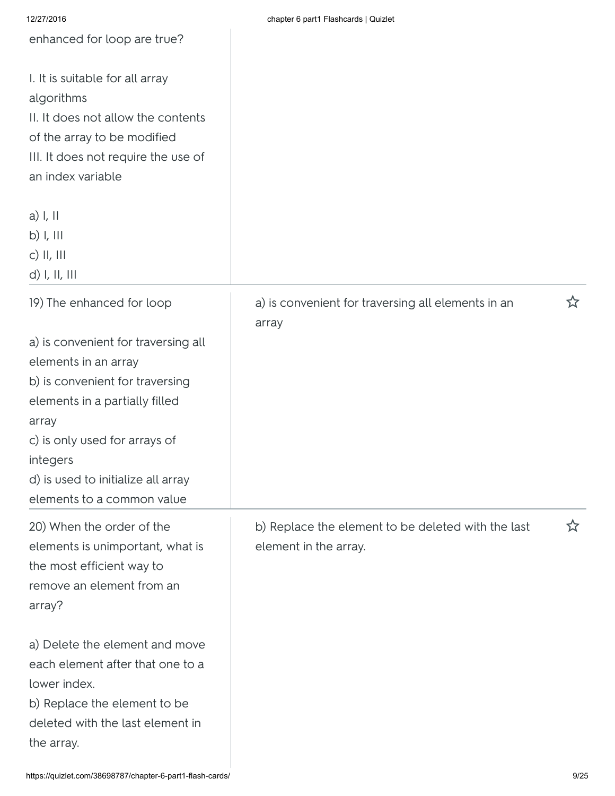| 12/27/2016                                                                                                                                                                                                                                                 | chapter 6 part1 Flashcards   Quizlet                                        |   |
|------------------------------------------------------------------------------------------------------------------------------------------------------------------------------------------------------------------------------------------------------------|-----------------------------------------------------------------------------|---|
| enhanced for loop are true?                                                                                                                                                                                                                                |                                                                             |   |
| I. It is suitable for all array<br>algorithms<br>II. It does not allow the contents<br>of the array to be modified<br>III. It does not require the use of<br>an index variable                                                                             |                                                                             |   |
| $a)$ I, II<br>$b)$ I, III<br>c) $II, III$<br>$d)$ I, II, III                                                                                                                                                                                               |                                                                             |   |
| 19) The enhanced for loop                                                                                                                                                                                                                                  | a) is convenient for traversing all elements in an<br>array                 | ☆ |
| a) is convenient for traversing all<br>elements in an array<br>b) is convenient for traversing<br>elements in a partially filled<br>array<br>c) is only used for arrays of<br>integers<br>d) is used to initialize all array<br>elements to a common value |                                                                             |   |
| 20) When the order of the<br>elements is unimportant, what is<br>the most efficient way to<br>remove an element from an<br>array?                                                                                                                          | b) Replace the element to be deleted with the last<br>element in the array. | ☆ |
| a) Delete the element and move<br>each element after that one to a<br>lower index.<br>b) Replace the element to be<br>deleted with the last element in<br>the array.                                                                                       |                                                                             |   |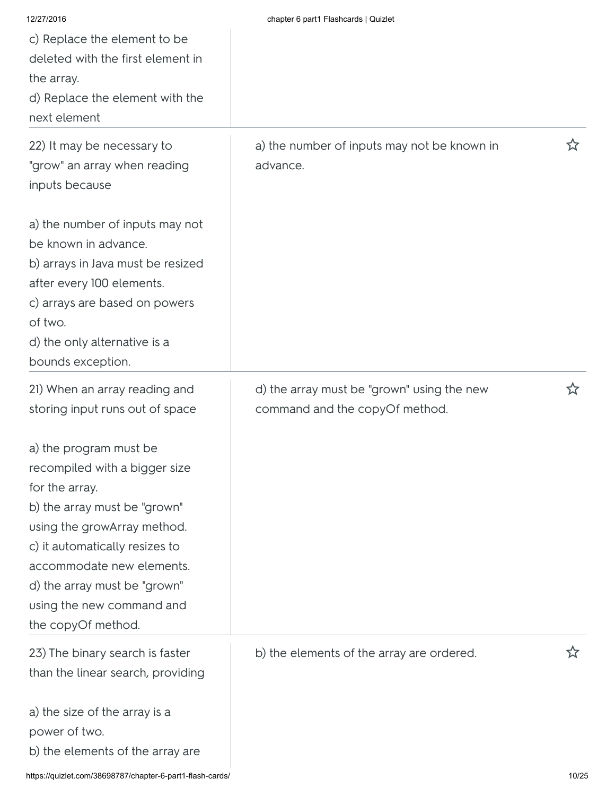| 12/27/2016                                                                                                                                                                                                                                                                                 | chapter 6 part1 Flashcards   Quizlet                                         |    |
|--------------------------------------------------------------------------------------------------------------------------------------------------------------------------------------------------------------------------------------------------------------------------------------------|------------------------------------------------------------------------------|----|
| c) Replace the element to be                                                                                                                                                                                                                                                               |                                                                              |    |
| deleted with the first element in                                                                                                                                                                                                                                                          |                                                                              |    |
| the array.                                                                                                                                                                                                                                                                                 |                                                                              |    |
| d) Replace the element with the                                                                                                                                                                                                                                                            |                                                                              |    |
| next element                                                                                                                                                                                                                                                                               |                                                                              |    |
| 22) It may be necessary to<br>"grow" an array when reading<br>inputs because                                                                                                                                                                                                               | a) the number of inputs may not be known in<br>advance.                      | ኢን |
| a) the number of inputs may not<br>be known in advance.<br>b) arrays in Java must be resized<br>after every 100 elements.<br>c) arrays are based on powers<br>of two.<br>d) the only alternative is a<br>bounds exception.                                                                 |                                                                              |    |
| 21) When an array reading and<br>storing input runs out of space                                                                                                                                                                                                                           | d) the array must be "grown" using the new<br>command and the copyOf method. |    |
| a) the program must be<br>recompiled with a bigger size<br>for the array.<br>b) the array must be "grown"<br>using the growArray method.<br>c) it automatically resizes to<br>accommodate new elements.<br>d) the array must be "grown"<br>using the new command and<br>the copyOf method. |                                                                              |    |
| 23) The binary search is faster<br>than the linear search, providing                                                                                                                                                                                                                       | b) the elements of the array are ordered.                                    | 饮  |
| a) the size of the array is a<br>power of two.<br>b) the elements of the array are                                                                                                                                                                                                         |                                                                              |    |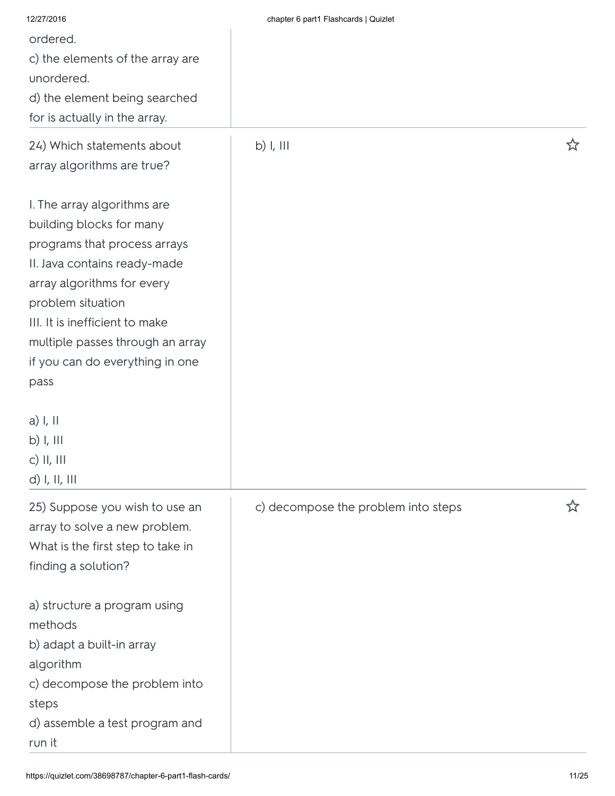| 12/27/2016                                                                                                                                                                                                                                                                                  | chapter 6 part1 Flashcards   Quizlet |   |
|---------------------------------------------------------------------------------------------------------------------------------------------------------------------------------------------------------------------------------------------------------------------------------------------|--------------------------------------|---|
| ordered.                                                                                                                                                                                                                                                                                    |                                      |   |
| c) the elements of the array are                                                                                                                                                                                                                                                            |                                      |   |
| unordered.                                                                                                                                                                                                                                                                                  |                                      |   |
| d) the element being searched                                                                                                                                                                                                                                                               |                                      |   |
| for is actually in the array.                                                                                                                                                                                                                                                               |                                      |   |
| 24) Which statements about<br>array algorithms are true?                                                                                                                                                                                                                                    | b) I, III                            | ☆ |
| I. The array algorithms are<br>building blocks for many<br>programs that process arrays<br>II. Java contains ready-made<br>array algorithms for every<br>problem situation<br>III. It is inefficient to make<br>multiple passes through an array<br>if you can do everything in one<br>pass |                                      |   |
| a) I, II<br>$b)$ I, III<br>c) II, III<br>$d)$ I, II, III                                                                                                                                                                                                                                    |                                      |   |
| 25) Suppose you wish to use an<br>array to solve a new problem.<br>What is the first step to take in<br>finding a solution?                                                                                                                                                                 | c) decompose the problem into steps  | ☆ |
| a) structure a program using<br>methods<br>b) adapt a built-in array<br>algorithm<br>c) decompose the problem into<br>steps<br>d) assemble a test program and<br>run it                                                                                                                     |                                      |   |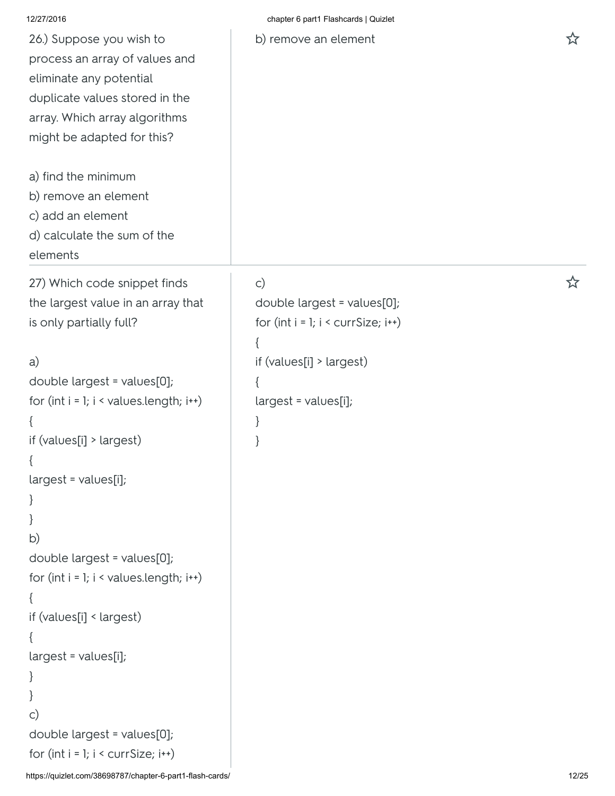| 12/27/2016                                                                                                                                                                             | chapter 6 part1 Flashcards   Quizlet                                                                            |   |
|----------------------------------------------------------------------------------------------------------------------------------------------------------------------------------------|-----------------------------------------------------------------------------------------------------------------|---|
| 26.) Suppose you wish to<br>process an array of values and<br>eliminate any potential<br>duplicate values stored in the<br>array. Which array algorithms<br>might be adapted for this? | b) remove an element                                                                                            | ☆ |
| a) find the minimum                                                                                                                                                                    |                                                                                                                 |   |
| b) remove an element                                                                                                                                                                   |                                                                                                                 |   |
| c) add an element                                                                                                                                                                      |                                                                                                                 |   |
| d) calculate the sum of the<br>elements                                                                                                                                                |                                                                                                                 |   |
| 27) Which code snippet finds<br>the largest value in an array that<br>is only partially full?<br>a)                                                                                    | $\mathsf{C}$<br>double largest = values[0];<br>for $(int i = 1; i < currSize; i++)$<br>if (values[i] > largest) | ☆ |
| double largest = values[0];<br>for $(int i = 1; i < values.length; i++)$                                                                                                               | $largest = values[i];$                                                                                          |   |
| $\{$                                                                                                                                                                                   | ł                                                                                                               |   |
| if $(values[i] > largest)$                                                                                                                                                             |                                                                                                                 |   |
| $\left\{ \right.$                                                                                                                                                                      |                                                                                                                 |   |
| $largest = values[i];$                                                                                                                                                                 |                                                                                                                 |   |
| $\}$                                                                                                                                                                                   |                                                                                                                 |   |
| }                                                                                                                                                                                      |                                                                                                                 |   |
| b)                                                                                                                                                                                     |                                                                                                                 |   |
| double largest = values[0];<br>for $(int i = 1; i < values.length; i++)$                                                                                                               |                                                                                                                 |   |
| $\mathcal{L}$                                                                                                                                                                          |                                                                                                                 |   |
| if (values[i] < largest)                                                                                                                                                               |                                                                                                                 |   |
| $\{$                                                                                                                                                                                   |                                                                                                                 |   |
| $largest = values[i];$                                                                                                                                                                 |                                                                                                                 |   |
| ł                                                                                                                                                                                      |                                                                                                                 |   |
| $\}$                                                                                                                                                                                   |                                                                                                                 |   |
| $\mathsf{C}$                                                                                                                                                                           |                                                                                                                 |   |
| double largest = values[0];                                                                                                                                                            |                                                                                                                 |   |
| for $(int i = 1; i < currSize; i++)$                                                                                                                                                   |                                                                                                                 |   |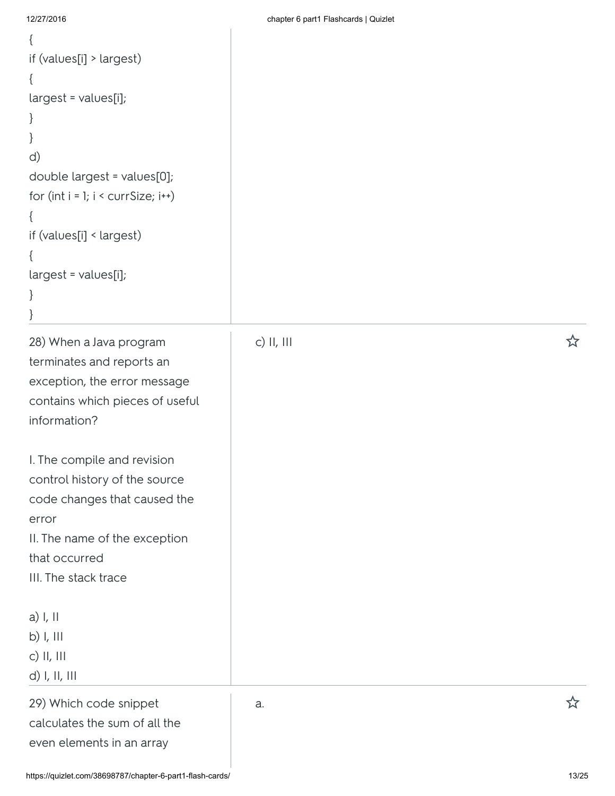$\mathbf{r}$ 

| if (values[i] > largest)             |            |   |
|--------------------------------------|------------|---|
| $\{$                                 |            |   |
| $largest = values[i];$               |            |   |
| $\}$                                 |            |   |
| }                                    |            |   |
| d)                                   |            |   |
| double largest = values[0];          |            |   |
| for $(int i = 1; i < currSize; i++)$ |            |   |
| $\{$                                 |            |   |
| if (values[i] < largest)             |            |   |
| $\{$                                 |            |   |
| largest = values[i];                 |            |   |
| $\}$                                 |            |   |
| }                                    |            |   |
| 28) When a Java program              | c) II, III | ☆ |
| terminates and reports an            |            |   |
| exception, the error message         |            |   |
| contains which pieces of useful      |            |   |
| information?                         |            |   |
|                                      |            |   |
| I. The compile and revision          |            |   |
| control history of the source        |            |   |
| code changes that caused the         |            |   |
| error                                |            |   |
| II. The name of the exception        |            |   |
| that occurred                        |            |   |
| III. The stack trace                 |            |   |
|                                      |            |   |
| $a)$ I, II                           |            |   |
| $b)$ I, III                          |            |   |
| $c)$ II, III                         |            |   |
| d) I, II, III                        |            |   |
| 29) Which code snippet               | a.         | ☆ |
| calculates the sum of all the        |            |   |
| even elements in an array            |            |   |
|                                      |            |   |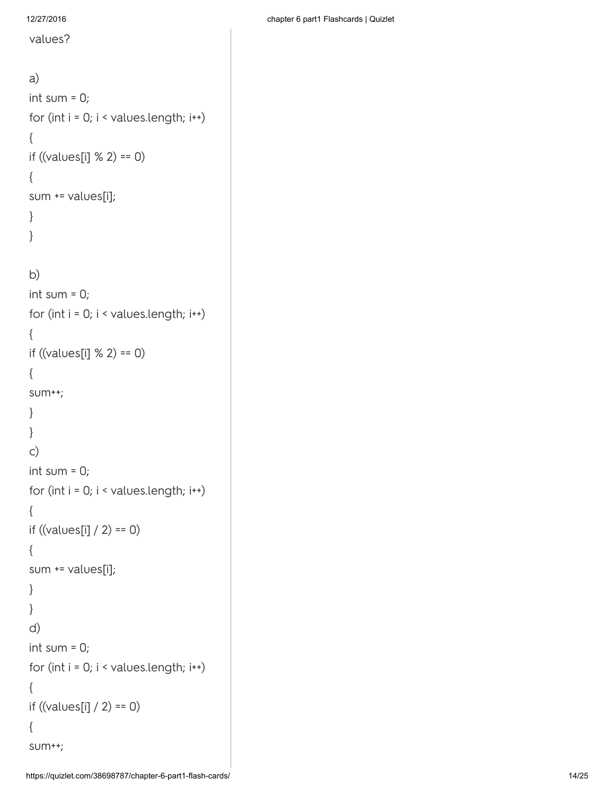values?

a) int sum  $= 0$ ; for (int  $i = 0$ ;  $i <$  values.length;  $i$ <sup>\*\*</sup>) { if ((values[i] % 2) == 0) { sum += values[i]; } } b) int sum  $= 0$ ; for (int  $i = 0$ ;  $i <$  values.length;  $i$ <sup>\*\*</sup>) { if ((values[i]  $% 2$ ) == 0) { sum++; } } c) int sum  $= 0$ ; for (int  $i = 0$ ;  $i <$  values.length;  $i$ <sup>\*\*</sup>) { if  $((values[i] / 2) == 0)$ { sum += values[i]; } } d) int sum  $= 0$ ; for (int  $i = 0$ ;  $i <$  values.length;  $i$ <sup>\*\*</sup>) { if  $((values[i] / 2) == 0)$ { sum++;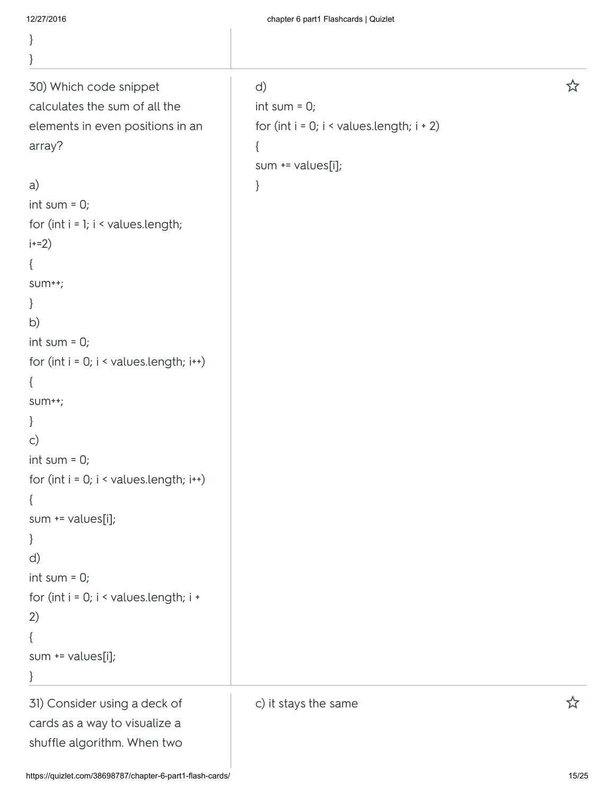| 12/27/2016                                                  | chapter 6 part1 Flashcards   Quizlet              |   |
|-------------------------------------------------------------|---------------------------------------------------|---|
| $\}$                                                        |                                                   |   |
| $\}$                                                        |                                                   |   |
| 30) Which code snippet                                      | d)                                                | ☆ |
| calculates the sum of all the                               | int sum = $0$ ;                                   |   |
| elements in even positions in an                            | for (int $i = 0$ ; $i <$ values.length; $i + 2$ ) |   |
| array?                                                      | $\{$                                              |   |
|                                                             | sum += values[i];                                 |   |
| a)                                                          | }                                                 |   |
| int sum = $0$ ;                                             |                                                   |   |
| for (int $i = 1$ ; $i <$ values. length;                    |                                                   |   |
| $i+2)$                                                      |                                                   |   |
| $\{$                                                        |                                                   |   |
| $SUM++;$                                                    |                                                   |   |
| $\}$                                                        |                                                   |   |
| b)                                                          |                                                   |   |
| int sum = $0$ ;                                             |                                                   |   |
| for (int $i = 0$ ; $i <$ values.length; $i$ <sup>++</sup> ) |                                                   |   |
| $\{$                                                        |                                                   |   |
| $SUM++;$                                                    |                                                   |   |
| $\}$                                                        |                                                   |   |
| $\mathsf{C}$                                                |                                                   |   |
| int sum = $0$ ;                                             |                                                   |   |
| for (int $i = 0$ ; $i <$ values.length; $i +$ )             |                                                   |   |
| $\{$                                                        |                                                   |   |
| sum += values[i];                                           |                                                   |   |
| $\}$                                                        |                                                   |   |
| d)                                                          |                                                   |   |
| int sum = $0$ ;                                             |                                                   |   |
| for (int $i = 0$ ; $i \leq x$ values. length; $i \neq y$    |                                                   |   |
| 2)                                                          |                                                   |   |
| $\{$                                                        |                                                   |   |
| sum += values[i];                                           |                                                   |   |
| $\}$                                                        |                                                   |   |
| 31) Consider using a deck of                                | c) it stays the same                              | ☆ |
| cards as a way to visualize a                               |                                                   |   |
| shuffle algorithm. When two                                 |                                                   |   |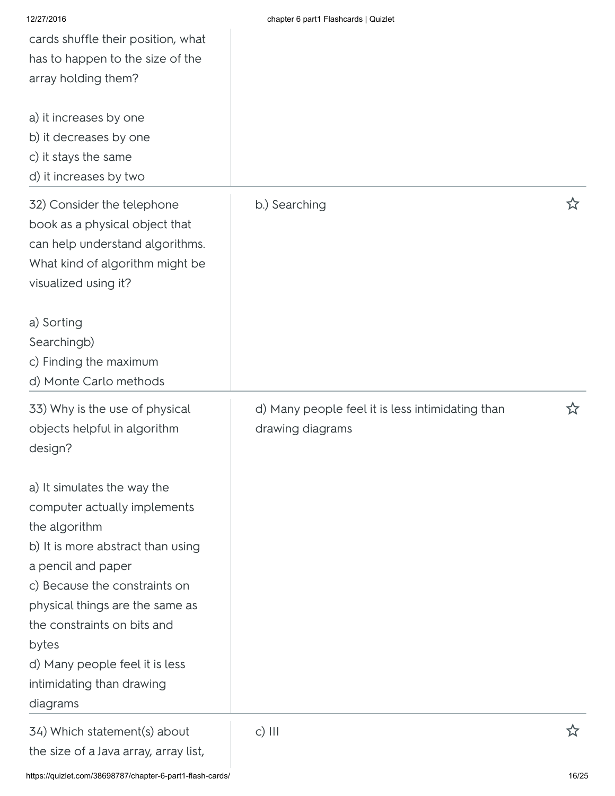| 12/27/2016<br>cards shuffle their position, what<br>has to happen to the size of the<br>array holding them?<br>a) it increases by one<br>b) it decreases by one<br>c) it stays the same<br>d) it increases by two                                                                                                              | chapter 6 part1 Flashcards   Quizlet                                 |   |
|--------------------------------------------------------------------------------------------------------------------------------------------------------------------------------------------------------------------------------------------------------------------------------------------------------------------------------|----------------------------------------------------------------------|---|
| 32) Consider the telephone<br>book as a physical object that<br>can help understand algorithms.<br>What kind of algorithm might be<br>visualized using it?                                                                                                                                                                     | b.) Searching                                                        | ☆ |
| a) Sorting<br>Searchingb)<br>c) Finding the maximum<br>d) Monte Carlo methods                                                                                                                                                                                                                                                  |                                                                      |   |
| 33) Why is the use of physical<br>objects helpful in algorithm<br>design?                                                                                                                                                                                                                                                      | d) Many people feel it is less intimidating than<br>drawing diagrams | 公 |
| a) It simulates the way the<br>computer actually implements<br>the algorithm<br>b) It is more abstract than using<br>a pencil and paper<br>c) Because the constraints on<br>physical things are the same as<br>the constraints on bits and<br>bytes<br>d) Many people feel it is less<br>intimidating than drawing<br>diagrams |                                                                      |   |
| 34) Which statement(s) about<br>the size of a Java array, array list,                                                                                                                                                                                                                                                          | $c)$ III                                                             |   |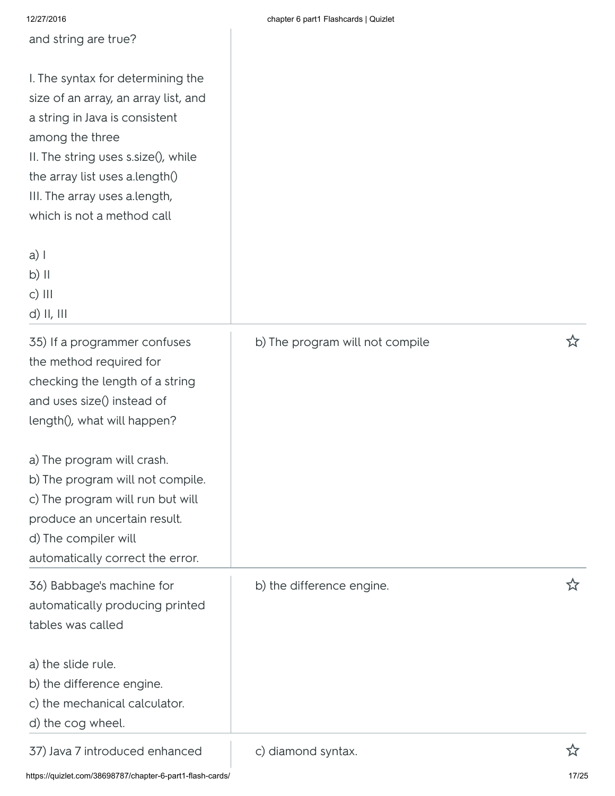|  |  | chapter 6 part1 Flashcards   Quizlet |  |
|--|--|--------------------------------------|--|
|  |  |                                      |  |

| 12/27/2016                                                                                                                                                                                                                                                             | chapter 6 part1 Flashcards   Quizlet |            |
|------------------------------------------------------------------------------------------------------------------------------------------------------------------------------------------------------------------------------------------------------------------------|--------------------------------------|------------|
| and string are true?                                                                                                                                                                                                                                                   |                                      |            |
| I. The syntax for determining the<br>size of an array, an array list, and<br>a string in Java is consistent<br>among the three<br>II. The string uses s.size(), while<br>the array list uses a.length()<br>III. The array uses a.length,<br>which is not a method call |                                      |            |
| $a)$  <br>$b)$ II<br>$c)$ $   $<br>$d)$ II, III                                                                                                                                                                                                                        |                                      |            |
| 35) If a programmer confuses<br>the method required for<br>checking the length of a string<br>and uses size() instead of<br>length(), what will happen?                                                                                                                | b) The program will not compile      | ☆          |
| a) The program will crash.<br>b) The program will not compile.<br>c) The program will run but will<br>produce an uncertain result.<br>d) The compiler will<br>automatically correct the error.                                                                         |                                      |            |
| 36) Babbage's machine for<br>automatically producing printed<br>tables was called                                                                                                                                                                                      | b) the difference engine.            | <u>ኢ</u> ን |
| a) the slide rule.<br>b) the difference engine.<br>c) the mechanical calculator.<br>d) the cog wheel.                                                                                                                                                                  |                                      |            |
| 37) Java 7 introduced enhanced                                                                                                                                                                                                                                         | c) diamond syntax.                   | ☆          |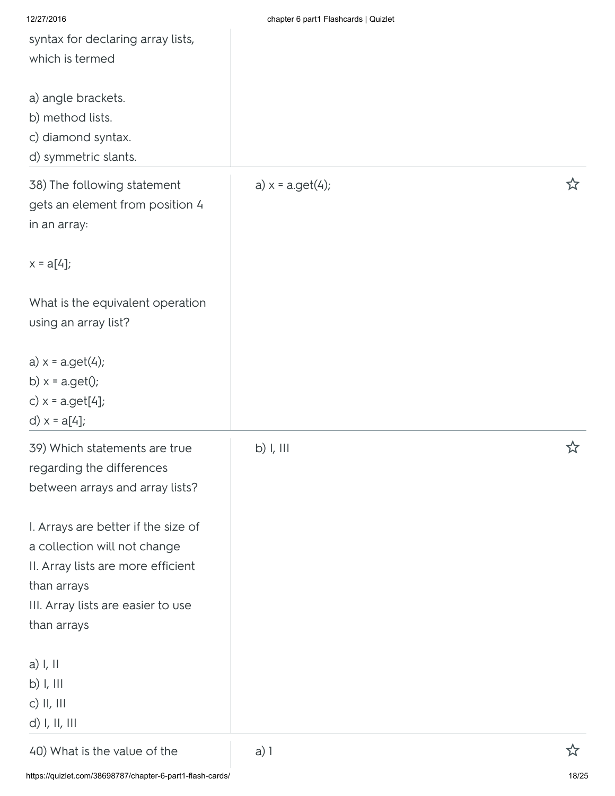| 12/27/2016                          | chapter 6 part1 Flashcards   Quizlet |   |
|-------------------------------------|--------------------------------------|---|
| syntax for declaring array lists,   |                                      |   |
| which is termed                     |                                      |   |
|                                     |                                      |   |
| a) angle brackets.                  |                                      |   |
| b) method lists.                    |                                      |   |
| c) diamond syntax.                  |                                      |   |
| d) symmetric slants.                |                                      |   |
| 38) The following statement         | a) $x = a.get(4);$                   | ☆ |
| gets an element from position 4     |                                      |   |
| in an array:                        |                                      |   |
|                                     |                                      |   |
| $x = a[4]$ ;                        |                                      |   |
|                                     |                                      |   |
| What is the equivalent operation    |                                      |   |
| using an array list?                |                                      |   |
|                                     |                                      |   |
| $a) x = a.get(4);$                  |                                      |   |
| b) $x = a.get()$ ;                  |                                      |   |
| c) $x = a.get[4]$ ;                 |                                      |   |
| d) $x = a[4]$ ;                     |                                      |   |
| 39) Which statements are true       | $b)$ I, III                          | ☆ |
| regarding the differences           |                                      |   |
| between arrays and array lists?     |                                      |   |
|                                     |                                      |   |
| I. Arrays are better if the size of |                                      |   |
| a collection will not change        |                                      |   |
| II. Array lists are more efficient  |                                      |   |
| than arrays                         |                                      |   |
| III. Array lists are easier to use  |                                      |   |
| than arrays                         |                                      |   |
| a) I, II                            |                                      |   |
| $b)$ I, III                         |                                      |   |
| c) II, III                          |                                      |   |
| d) I, II, III                       |                                      |   |
| 40) What is the value of the        | $a)$ 1                               | ☆ |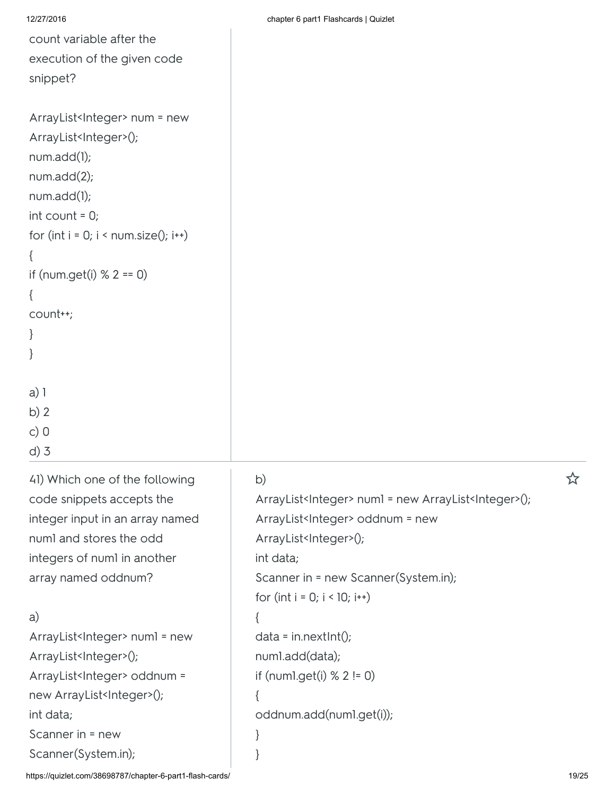| 12/27/2016 |
|------------|
|------------|

count variable after the execution of the given code snippet?

```
ArrayList<Integer> num = new
ArrayList<Integer>();
num.add(1);
num.add(2);
num.add(1);
int count = 0;
for (int i = 0; i \leq num.size(); i \rightarrow)
{
if (num.get(i) % 2 == 0)
{
count++;
}
}
```
d) 3 41) Which one of the following code snippets accepts the integer input in an array named num1 and stores the odd integers of num1 in another array named oddnum?

## a)

a) 1 b) 2 c) 0

ArrayList<Integer> numl = new ArrayList<Integer>(); ArrayList<Integer> oddnum = new ArrayList<Integer>(); int data; Scanner in = new Scanner(System.in);

| b)                                                                       |  |
|--------------------------------------------------------------------------|--|
| ArrayList <integer> numl = new ArrayList<integer>();</integer></integer> |  |
| ArrayList <integer> oddnum = new</integer>                               |  |
| ArrayList <integer>();</integer>                                         |  |
| int data;                                                                |  |
| Scanner in = new Scanner(System.in);                                     |  |
| for (int $i = 0$ ; $i < 10$ ; $i++)$                                     |  |
| {                                                                        |  |
| $data = in.nextInt();$                                                   |  |
| numl.add(data);                                                          |  |
| if (numl.get(i) $% 2 != 0$ )                                             |  |
| ſ                                                                        |  |
| oddnum.add(numl.get(i));                                                 |  |
|                                                                          |  |
|                                                                          |  |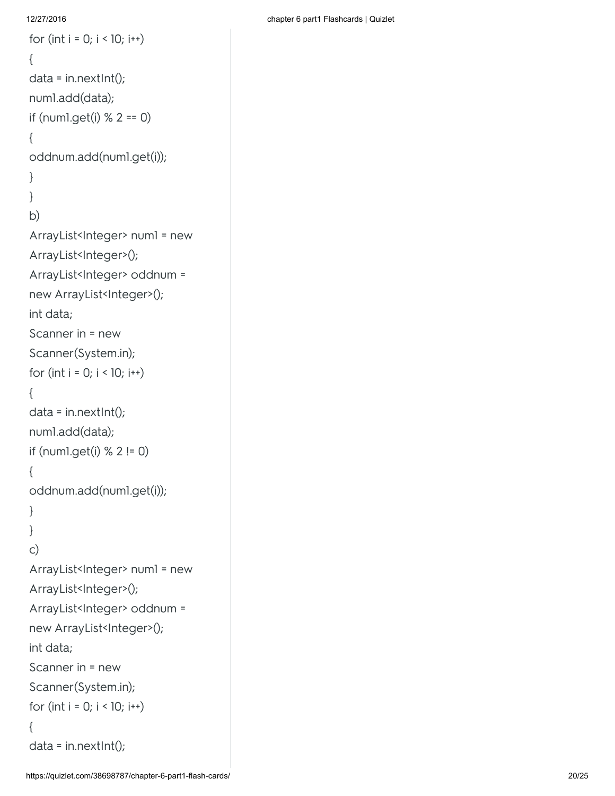### 12/27/2016

```
for (int i = 0; i < 10; i++)
{<br>data = in.nextInt();
numl.add(data);
if (numl.get(i) % 2 == 0)
{<br>oddnum.add(num1.get(i));
\}}<br>}<br>b)
\}b)
ArrayList<Integer> numl = new
ArrayList<Integer>();
ArrayList<Integer> oddnum =
new ArrayList<Integer>();
int data; Scanner in = new Scanner(System.in); for (int i = 0; i < 10; i++)\{ data = in.nextInt();
num1.add(data); if (num1.get(i) % 2 != 0) {oddnum.add(num1.get(i))
;
\}}<br>c)
\}\mathsf{C})
ArrayList<Integer> numl = new
ArrayList<Integer>();
ArrayList<Integer> oddnum =
new ArrayList<Integer>();
int data; Scanner in = new Scanner(System.in); for (int i = 0; i < 10; i++){<br>data = in.nextInt();
```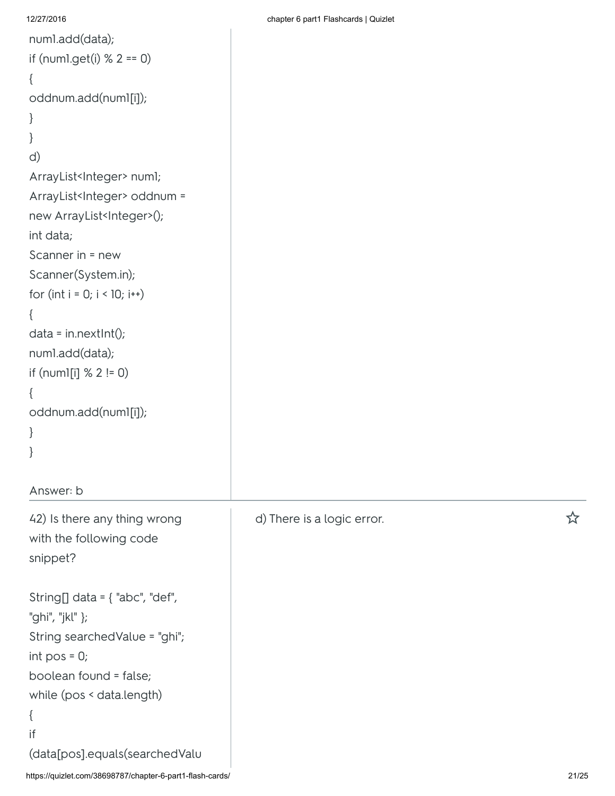```
12/27/2016 chapter 6 part1 Flashcards | Quizlet
num1.add(data);
if (num1.get(i) % 2 == 0)
{
oddnum.add(num1[i]);
}
}
d)
ArrayList<Integer> numl;
ArrayList<Integer> oddnum =
new ArrayList<Integer>();
int data;
Scanner in = new
Scanner(System.in);
for (int i = 0; i < 10; i++){
data = in.nextInt();
num1.add(data);
if (num1[i] \, \% \, 2! = 0)
{
oddnum.add(num1[i]);
}
}
```
Answer: b

42) Is there any thing wrong with the following code snippet?

```
String[] data = \{ "abc", "def",
"ghi", "jkl" };
String searchedValue = "ghi";
int pos = 0;boolean found = false;
while (pos < data.length)
```

```
{
if
```

```
(data[pos].equals(searchedValu
```
d) There is a logic error. <br> **A**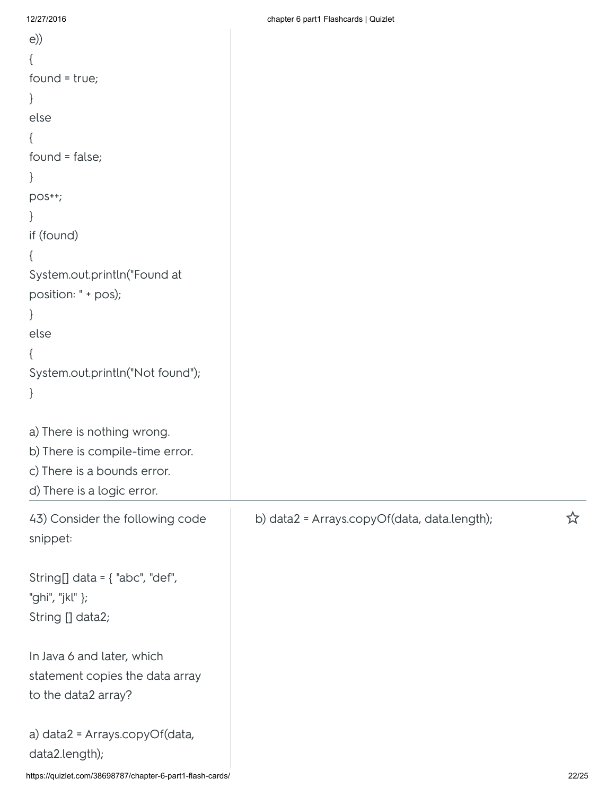| e)                                                        |                                              |       |
|-----------------------------------------------------------|----------------------------------------------|-------|
|                                                           |                                              |       |
| $found = true;$                                           |                                              |       |
|                                                           |                                              |       |
| else                                                      |                                              |       |
|                                                           |                                              |       |
| found = false;                                            |                                              |       |
|                                                           |                                              |       |
| pos++;                                                    |                                              |       |
|                                                           |                                              |       |
| if (found)                                                |                                              |       |
|                                                           |                                              |       |
| System.out.println("Found at                              |                                              |       |
| position: " + pos);                                       |                                              |       |
|                                                           |                                              |       |
| else                                                      |                                              |       |
|                                                           |                                              |       |
| System.out.println("Not found");                          |                                              |       |
|                                                           |                                              |       |
|                                                           |                                              |       |
| a) There is nothing wrong.                                |                                              |       |
| b) There is compile-time error.                           |                                              |       |
| c) There is a bounds error.                               |                                              |       |
| d) There is a logic error.                                |                                              |       |
| 43) Consider the following code                           | b) data2 = Arrays.copyOf(data, data.length); | ☆     |
| snippet:                                                  |                                              |       |
|                                                           |                                              |       |
| String[] data = $\{$ "abc", "def",                        |                                              |       |
| "ghi", "jkl" };                                           |                                              |       |
| String [] data2;                                          |                                              |       |
|                                                           |                                              |       |
| In Java 6 and later, which                                |                                              |       |
| statement copies the data array                           |                                              |       |
| to the data2 array?                                       |                                              |       |
|                                                           |                                              |       |
| a) data2 = Arrays.copyOf(data,                            |                                              |       |
| data2.length);                                            |                                              |       |
| https://quizlet.com/38698787/chapter-6-part1-flash-cards/ |                                              | 22/25 |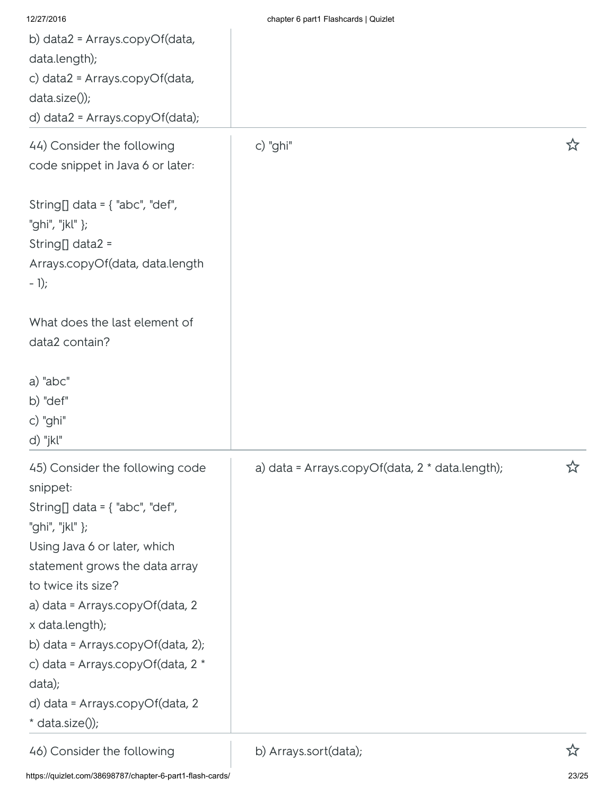| 12/27/2016                                                                                                                                                                                                                                                                                                                                                                                     | chapter 6 part1 Flashcards   Quizlet            |   |
|------------------------------------------------------------------------------------------------------------------------------------------------------------------------------------------------------------------------------------------------------------------------------------------------------------------------------------------------------------------------------------------------|-------------------------------------------------|---|
| b) data2 = Arrays.copyOf(data,                                                                                                                                                                                                                                                                                                                                                                 |                                                 |   |
| data.length);                                                                                                                                                                                                                                                                                                                                                                                  |                                                 |   |
| c) data2 = Arrays.copyOf(data,                                                                                                                                                                                                                                                                                                                                                                 |                                                 |   |
| $data.size()$ ;                                                                                                                                                                                                                                                                                                                                                                                |                                                 |   |
| d) data2 = Arrays.copyOf(data);                                                                                                                                                                                                                                                                                                                                                                |                                                 |   |
| 44) Consider the following<br>code snippet in Java 6 or later:                                                                                                                                                                                                                                                                                                                                 | c) "ghi"                                        | ☆ |
| String[] data = $\{$ "abc", "def",<br>"ghi", "jkl" };<br>String[] data2 =<br>Arrays.copyOf(data, data.length<br>$-1);$                                                                                                                                                                                                                                                                         |                                                 |   |
| What does the last element of<br>data2 contain?                                                                                                                                                                                                                                                                                                                                                |                                                 |   |
| a) "abc"<br>b) "def"<br>c) "ghi"<br>d) "jkl"                                                                                                                                                                                                                                                                                                                                                   |                                                 |   |
| 45) Consider the following code<br>snippet:<br>String[] data = $\{$ "abc", "def",<br>"ghi", "jkl" };<br>Using Java 6 or later, which<br>statement grows the data array<br>to twice its size?<br>a) data = Arrays.copyOf(data, 2<br>x data.length);<br>b) data = Arrays.copyOf(data, 2);<br>c) data = Arrays.copyOf(data, 2 *<br>data);<br>d) data = Arrays.copyOf(data, 2<br>$*$ data.size()); | a) data = Arrays.copyOf(data, 2 * data.length); | ☆ |
| 46) Consider the following                                                                                                                                                                                                                                                                                                                                                                     | b) Arrays.sort(data);                           | ☆ |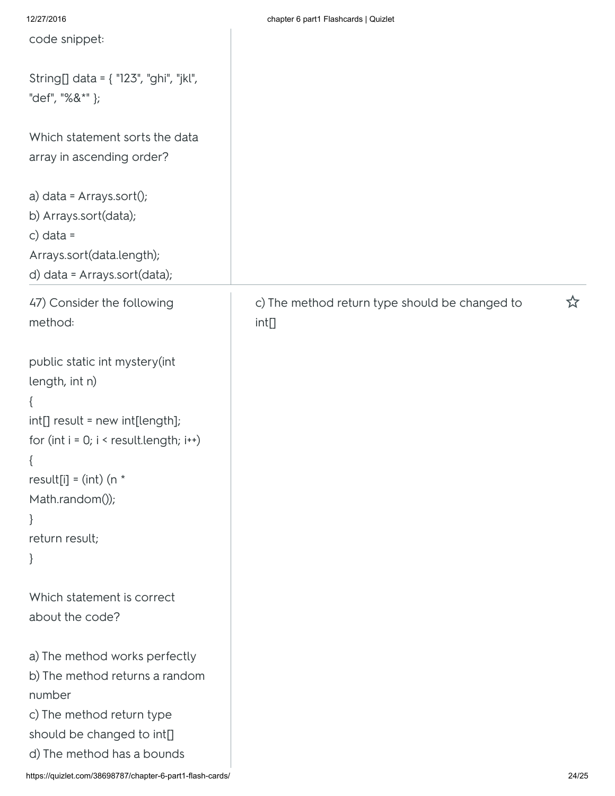| 12/27/2016                                                                                                                                                                                                                         | chapter 6 part1 Flashcards   Quizlet                    |   |
|------------------------------------------------------------------------------------------------------------------------------------------------------------------------------------------------------------------------------------|---------------------------------------------------------|---|
| code snippet:                                                                                                                                                                                                                      |                                                         |   |
| String[] data = { "123", "ghi", "jkl",<br>"def", "%&*" };                                                                                                                                                                          |                                                         |   |
| Which statement sorts the data<br>array in ascending order?                                                                                                                                                                        |                                                         |   |
| a) data = Arrays.sort();<br>b) Arrays.sort(data);<br>c) data =<br>Arrays.sort(data.length);<br>d) data = Arrays.sort(data);                                                                                                        |                                                         |   |
| 47) Consider the following<br>method:                                                                                                                                                                                              | c) The method return type should be changed to<br>int[] | ☆ |
| public static int mystery(int<br>length, int n)<br>$\{$<br>int[] result = new int[length];<br>for $(int i = 0; i < result.length; i++)$<br>$\{$<br>result[i] = $(int)$ (n $*$<br>Math.random());<br>$\}$<br>return result;<br>$\}$ |                                                         |   |
| Which statement is correct<br>about the code?                                                                                                                                                                                      |                                                         |   |
| a) The method works perfectly<br>b) The method returns a random<br>number<br>c) The method return type<br>should be changed to int[]<br>d) The method has a bounds                                                                 |                                                         |   |